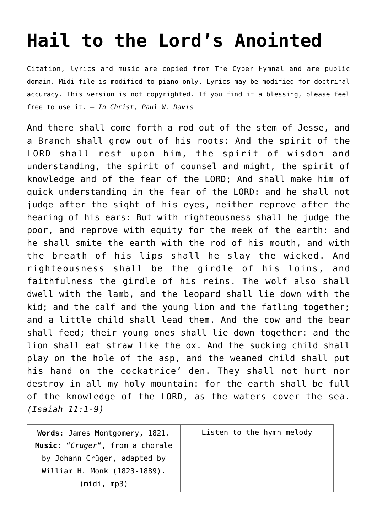## **[Hail to the Lord's Anointed](http://reproachofmen.org/hymns-and-music/hail-to-the-lords-anointed/)**

Citation, lyrics and music are copied from [The Cyber Hymnal](http://www.hymntime.com/tch/index.htm) and are public domain. Midi file is modified to piano only. Lyrics may be modified for doctrinal accuracy. This version is not copyrighted. If you find it a blessing, please feel free to use it. — *In Christ, Paul W. Davis*

And there shall come forth a rod out of the stem of Jesse, and a Branch shall grow out of his roots: And the spirit of the LORD shall rest upon him, the spirit of wisdom and understanding, the spirit of counsel and might, the spirit of knowledge and of the fear of the LORD; And shall make him of quick understanding in the fear of the LORD: and he shall not judge after the sight of his eyes, neither reprove after the hearing of his ears: But with righteousness shall he judge the poor, and reprove with equity for the meek of the earth: and he shall smite the earth with the rod of his mouth, and with the breath of his lips shall he slay the wicked. And righteousness shall be the girdle of his loins, and faithfulness the girdle of his reins. The wolf also shall dwell with the lamb, and the leopard shall lie down with the kid; and the calf and the young lion and the fatling together; and a little child shall lead them. And the cow and the bear shall feed; their young ones shall lie down together: and the lion shall eat straw like the ox. And the sucking child shall play on the hole of the asp, and the weaned child shall put his hand on the cockatrice' den. They shall not hurt nor destroy in all my holy mountain: for the earth shall be full of the knowledge of the LORD, as the waters cover the sea. *(Isaiah 11:1-9)*

| Words: James Montgomery, 1821.  | Listen to the hymn melody |
|---------------------------------|---------------------------|
| Music: "Cruger", from a chorale |                           |
| by Johann Crüger, adapted by    |                           |
| William H. Monk (1823-1889).    |                           |
| (midi, mp3)                     |                           |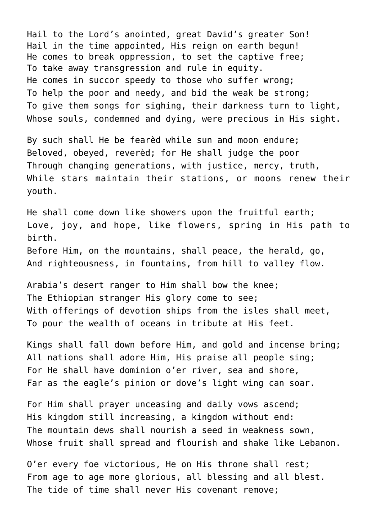Hail to the Lord's anointed, great David's greater Son! Hail in the time appointed, His reign on earth begun! He comes to break oppression, to set the captive free; To take away transgression and rule in equity. He comes in succor speedy to those who suffer wrong; To help the poor and needy, and bid the weak be strong; To give them songs for sighing, their darkness turn to light, Whose souls, condemned and dying, were precious in His sight.

By such shall He be fearèd while sun and moon endure; Beloved, obeyed, reverèd; for He shall judge the poor Through changing generations, with justice, mercy, truth, While stars maintain their stations, or moons renew their youth.

He shall come down like showers upon the fruitful earth; Love, joy, and hope, like flowers, spring in His path to birth. Before Him, on the mountains, shall peace, the herald, go, And righteousness, in fountains, from hill to valley flow.

Arabia's desert ranger to Him shall bow the knee; The Ethiopian stranger His glory come to see; With offerings of devotion ships from the isles shall meet, To pour the wealth of oceans in tribute at His feet.

Kings shall fall down before Him, and gold and incense bring; All nations shall adore Him, His praise all people sing; For He shall have dominion o'er river, sea and shore, Far as the eagle's pinion or dove's light wing can soar.

For Him shall prayer unceasing and daily vows ascend; His kingdom still increasing, a kingdom without end: The mountain dews shall nourish a seed in weakness sown, Whose fruit shall spread and flourish and shake like Lebanon.

O'er every foe victorious, He on His throne shall rest; From age to age more glorious, all blessing and all blest. The tide of time shall never His covenant remove;